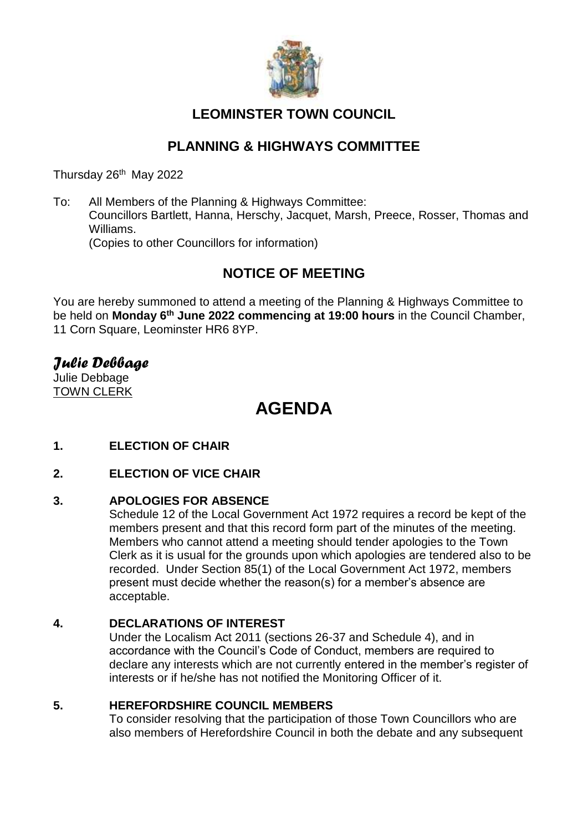

# **LEOMINSTER TOWN COUNCIL**

# **PLANNING & HIGHWAYS COMMITTEE**

Thursday 26<sup>th</sup> May 2022

To: All Members of the Planning & Highways Committee: Councillors Bartlett, Hanna, Herschy, Jacquet, Marsh, Preece, Rosser, Thomas and Williams. (Copies to other Councillors for information)

# **NOTICE OF MEETING**

You are hereby summoned to attend a meeting of the Planning & Highways Committee to be held on **Monday 6 th June 2022 commencing at 19:00 hours** in the Council Chamber, 11 Corn Square, Leominster HR6 8YP.

# *Julie Debbage*

Julie Debbage TOWN CLERK

# **AGENDA**

**1. ELECTION OF CHAIR**

# **2. ELECTION OF VICE CHAIR**

# **3. APOLOGIES FOR ABSENCE**

Schedule 12 of the Local Government Act 1972 requires a record be kept of the members present and that this record form part of the minutes of the meeting. Members who cannot attend a meeting should tender apologies to the Town Clerk as it is usual for the grounds upon which apologies are tendered also to be recorded. Under Section 85(1) of the Local Government Act 1972, members present must decide whether the reason(s) for a member's absence are acceptable.

# **4. DECLARATIONS OF INTEREST**

Under the Localism Act 2011 (sections 26-37 and Schedule 4), and in accordance with the Council's Code of Conduct, members are required to declare any interests which are not currently entered in the member's register of interests or if he/she has not notified the Monitoring Officer of it.

### **5. HEREFORDSHIRE COUNCIL MEMBERS**

To consider resolving that the participation of those Town Councillors who are also members of Herefordshire Council in both the debate and any subsequent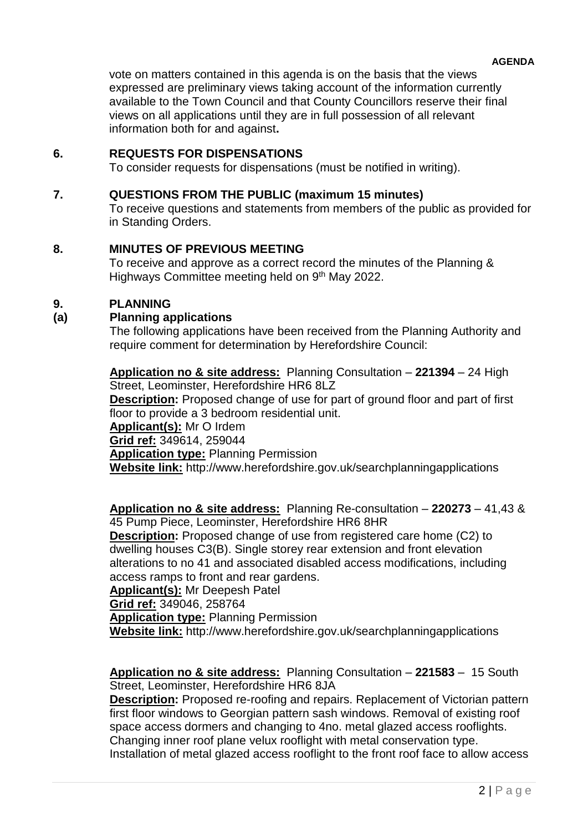vote on matters contained in this agenda is on the basis that the views expressed are preliminary views taking account of the information currently available to the Town Council and that County Councillors reserve their final views on all applications until they are in full possession of all relevant information both for and against**.**

# **6. REQUESTS FOR DISPENSATIONS**

To consider requests for dispensations (must be notified in writing).

### **7. QUESTIONS FROM THE PUBLIC (maximum 15 minutes)**

To receive questions and statements from members of the public as provided for in Standing Orders.

### **8. MINUTES OF PREVIOUS MEETING**

To receive and approve as a correct record the minutes of the Planning & Highways Committee meeting held on 9<sup>th</sup> May 2022.

### **9. PLANNING**

### **(a) Planning applications**

The following applications have been received from the Planning Authority and require comment for determination by Herefordshire Council:

**Application no & site address:** Planning Consultation – **221394** – 24 High Street, Leominster, Herefordshire HR6 8LZ **Description:** Proposed change of use for part of ground floor and part of first floor to provide a 3 bedroom residential unit. **Applicant(s):** Mr O Irdem **Grid ref:** 349614, 259044 **Application type:** Planning Permission **Website link:** http://www.herefordshire.gov.uk/searchplanningapplications

### **Application no & site address:** Planning Re-consultation – **220273** – 41,43 & 45 Pump Piece, Leominster, Herefordshire HR6 8HR

**Description:** Proposed change of use from registered care home (C2) to dwelling houses C3(B). Single storey rear extension and front elevation alterations to no 41 and associated disabled access modifications, including access ramps to front and rear gardens.

**Applicant(s):** Mr Deepesh Patel

**Grid ref:** 349046, 258764

**Application type:** Planning Permission

**Website link:** http://www.herefordshire.gov.uk/searchplanningapplications

### **Application no & site address:** Planning Consultation – **221583** – 15 South Street, Leominster, Herefordshire HR6 8JA

**Description:** Proposed re-roofing and repairs. Replacement of Victorian pattern first floor windows to Georgian pattern sash windows. Removal of existing roof space access dormers and changing to 4no. metal glazed access rooflights. Changing inner roof plane velux rooflight with metal conservation type. Installation of metal glazed access rooflight to the front roof face to allow access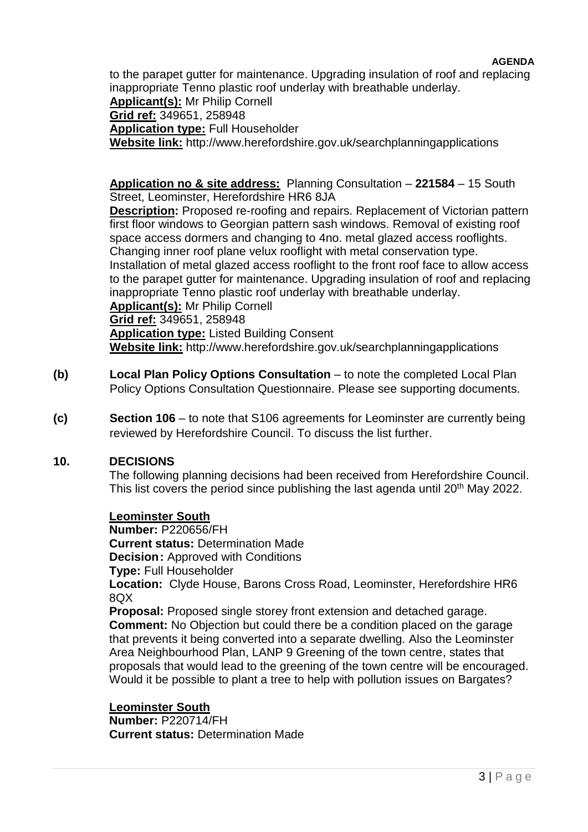### **AGENDA**

to the parapet gutter for maintenance. Upgrading insulation of roof and replacing inappropriate Tenno plastic roof underlay with breathable underlay.

**Applicant(s):** Mr Philip Cornell **Grid ref:** 349651, 258948 **Application type:** Full Householder **Website link:** http://www.herefordshire.gov.uk/searchplanningapplications

**Application no & site address:** Planning Consultation – **221584** – 15 South Street, Leominster, Herefordshire HR6 8JA

**Description:** Proposed re-roofing and repairs. Replacement of Victorian pattern first floor windows to Georgian pattern sash windows. Removal of existing roof space access dormers and changing to 4no. metal glazed access rooflights. Changing inner roof plane velux rooflight with metal conservation type. Installation of metal glazed access rooflight to the front roof face to allow access to the parapet gutter for maintenance. Upgrading insulation of roof and replacing inappropriate Tenno plastic roof underlay with breathable underlay. **Applicant(s):** Mr Philip Cornell

**Grid ref:** 349651, 258948

**Application type:** Listed Building Consent **Website link:** http://www.herefordshire.gov.uk/searchplanningapplications

- **(b) Local Plan Policy Options Consultation** to note the completed Local Plan Policy Options Consultation Questionnaire. Please see supporting documents.
- **(c) Section 106**  to note that S106 agreements for Leominster are currently being reviewed by Herefordshire Council. To discuss the list further.

### **10. DECISIONS**

The following planning decisions had been received from Herefordshire Council. This list covers the period since publishing the last agenda until 20<sup>th</sup> May 2022.

### **Leominster South**

**Number:** P220656/FH **Current status:** Determination Made **Decision:** Approved with Conditions **Type:** Full Householder **Location:** Clyde House, Barons Cross Road, Leominster, Herefordshire HR6 8QX **Proposal:** Proposed single storey front extension and detached garage. **Comment:** No Objection but could there be a condition placed on the garage

that prevents it being converted into a separate dwelling. Also the Leominster Area Neighbourhood Plan, LANP 9 Greening of the town centre, states that proposals that would lead to the greening of the town centre will be encouraged. Would it be possible to plant a tree to help with pollution issues on Bargates?

**Leominster South Number:** P220714/FH **Current status:** Determination Made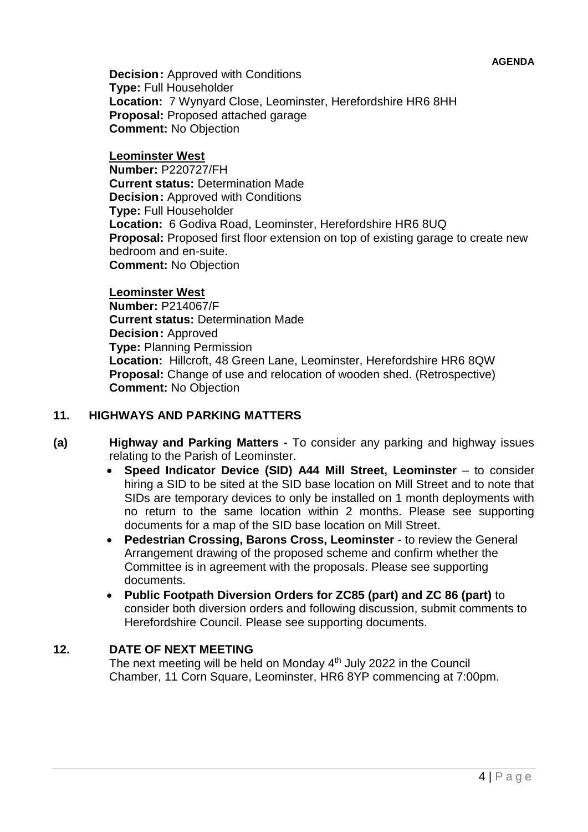**Decision:** Approved with Conditions **Type:** Full Householder **Location:** 7 Wynyard Close, Leominster, Herefordshire HR6 8HH **Proposal:** Proposed attached garage **Comment:** No Objection

### **Leominster West**

**Number:** P220727/FH **Current status:** Determination Made **Decision: Approved with Conditions Type:** Full Householder **Location:** 6 Godiva Road, Leominster, Herefordshire HR6 8UQ **Proposal:** Proposed first floor extension on top of existing garage to create new bedroom and en-suite. **Comment:** No Objection

### **Leominster West**

**Number:** P214067/F **Current status:** Determination Made **Decision:** Approved **Type:** Planning Permission **Location:** Hillcroft, 48 Green Lane, Leominster, Herefordshire HR6 8QW **Proposal:** Change of use and relocation of wooden shed. (Retrospective) **Comment:** No Objection

### **11. HIGHWAYS AND PARKING MATTERS**

- **(a) Highway and Parking Matters -** To consider any parking and highway issues relating to the Parish of Leominster.
	- **Speed Indicator Device (SID) A44 Mill Street, Leominster** to consider hiring a SID to be sited at the SID base location on Mill Street and to note that SIDs are temporary devices to only be installed on 1 month deployments with no return to the same location within 2 months. Please see supporting documents for a map of the SID base location on Mill Street.
	- **Pedestrian Crossing, Barons Cross, Leominster**  to review the General Arrangement drawing of the proposed scheme and confirm whether the Committee is in agreement with the proposals. Please see supporting documents.
	- **Public Footpath Diversion Orders for ZC85 (part) and ZC 86 (part)** to consider both diversion orders and following discussion, submit comments to Herefordshire Council. Please see supporting documents.

## **12. DATE OF NEXT MEETING**

The next meeting will be held on Monday 4<sup>th</sup> July 2022 in the Council Chamber, 11 Corn Square, Leominster, HR6 8YP commencing at 7:00pm.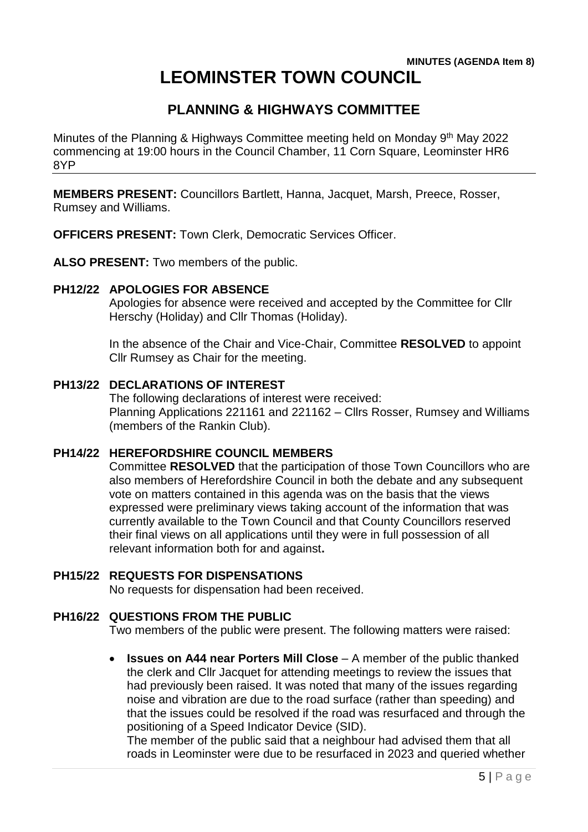# **LEOMINSTER TOWN COUNCIL**

# **PLANNING & HIGHWAYS COMMITTEE**

Minutes of the Planning & Highways Committee meeting held on Monday 9<sup>th</sup> May 2022 commencing at 19:00 hours in the Council Chamber, 11 Corn Square, Leominster HR6 8YP

**MEMBERS PRESENT:** Councillors Bartlett, Hanna, Jacquet, Marsh, Preece, Rosser, Rumsey and Williams.

**OFFICERS PRESENT:** Town Clerk, Democratic Services Officer.

**ALSO PRESENT:** Two members of the public.

### **PH12/22 APOLOGIES FOR ABSENCE**

Apologies for absence were received and accepted by the Committee for Cllr Herschy (Holiday) and Cllr Thomas (Holiday).

In the absence of the Chair and Vice-Chair, Committee **RESOLVED** to appoint Cllr Rumsey as Chair for the meeting.

### **PH13/22 DECLARATIONS OF INTEREST**

The following declarations of interest were received: Planning Applications 221161 and 221162 – Cllrs Rosser, Rumsey and Williams (members of the Rankin Club).

### **PH14/22 HEREFORDSHIRE COUNCIL MEMBERS**

Committee **RESOLVED** that the participation of those Town Councillors who are also members of Herefordshire Council in both the debate and any subsequent vote on matters contained in this agenda was on the basis that the views expressed were preliminary views taking account of the information that was currently available to the Town Council and that County Councillors reserved their final views on all applications until they were in full possession of all relevant information both for and against**.**

### **PH15/22 REQUESTS FOR DISPENSATIONS**

No requests for dispensation had been received.

### **PH16/22 QUESTIONS FROM THE PUBLIC**

Two members of the public were present. The following matters were raised:

 **Issues on A44 near Porters Mill Close** – A member of the public thanked the clerk and Cllr Jacquet for attending meetings to review the issues that had previously been raised. It was noted that many of the issues regarding noise and vibration are due to the road surface (rather than speeding) and that the issues could be resolved if the road was resurfaced and through the positioning of a Speed Indicator Device (SID).

The member of the public said that a neighbour had advised them that all roads in Leominster were due to be resurfaced in 2023 and queried whether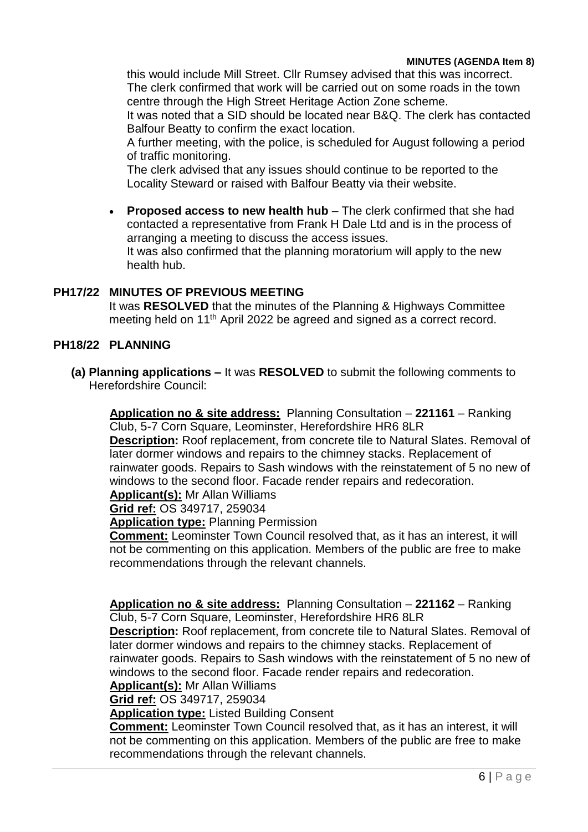this would include Mill Street. Cllr Rumsey advised that this was incorrect. The clerk confirmed that work will be carried out on some roads in the town centre through the High Street Heritage Action Zone scheme.

It was noted that a SID should be located near B&Q. The clerk has contacted Balfour Beatty to confirm the exact location.

A further meeting, with the police, is scheduled for August following a period of traffic monitoring.

The clerk advised that any issues should continue to be reported to the Locality Steward or raised with Balfour Beatty via their website.

 **Proposed access to new health hub** – The clerk confirmed that she had contacted a representative from Frank H Dale Ltd and is in the process of arranging a meeting to discuss the access issues. It was also confirmed that the planning moratorium will apply to the new health hub.

# **PH17/22 MINUTES OF PREVIOUS MEETING**

It was **RESOLVED** that the minutes of the Planning & Highways Committee meeting held on 11<sup>th</sup> April 2022 be agreed and signed as a correct record.

# **PH18/22 PLANNING**

**(a) Planning applications –** It was **RESOLVED** to submit the following comments to Herefordshire Council:

**Application no & site address:** Planning Consultation – **221161** – Ranking Club, 5-7 Corn Square, Leominster, Herefordshire HR6 8LR

**Description:** Roof replacement, from concrete tile to Natural Slates. Removal of later dormer windows and repairs to the chimney stacks. Replacement of rainwater goods. Repairs to Sash windows with the reinstatement of 5 no new of windows to the second floor. Facade render repairs and redecoration. **Applicant(s):** Mr Allan Williams

**Grid ref:** OS 349717, 259034

**Application type:** Planning Permission

**Comment:** Leominster Town Council resolved that, as it has an interest, it will not be commenting on this application. Members of the public are free to make recommendations through the relevant channels.

**Application no & site address:** Planning Consultation – **221162** – Ranking Club, 5-7 Corn Square, Leominster, Herefordshire HR6 8LR

**Description:** Roof replacement, from concrete tile to Natural Slates. Removal of later dormer windows and repairs to the chimney stacks. Replacement of rainwater goods. Repairs to Sash windows with the reinstatement of 5 no new of windows to the second floor. Facade render repairs and redecoration.

**Applicant(s):** Mr Allan Williams

**Grid ref:** OS 349717, 259034

**Application type:** Listed Building Consent

**Comment:** Leominster Town Council resolved that, as it has an interest, it will not be commenting on this application. Members of the public are free to make recommendations through the relevant channels.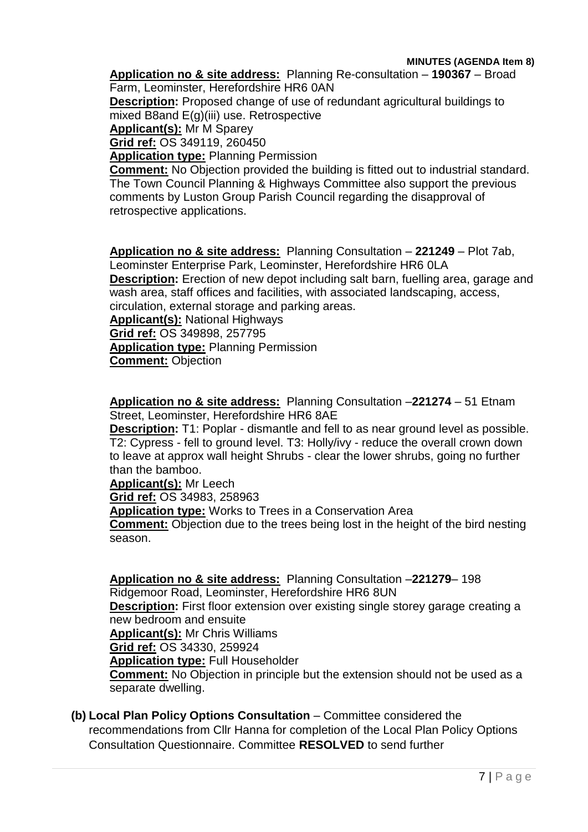**Application no & site address:** Planning Re-consultation – **190367** – Broad Farm, Leominster, Herefordshire HR6 0AN

**Description:** Proposed change of use of redundant agricultural buildings to mixed B8and E(g)(iii) use. Retrospective

**Applicant(s):** Mr M Sparey

**Grid ref:** OS 349119, 260450

**Application type:** Planning Permission

**Comment:** No Objection provided the building is fitted out to industrial standard. The Town Council Planning & Highways Committee also support the previous comments by Luston Group Parish Council regarding the disapproval of retrospective applications.

**Application no & site address:** Planning Consultation – **221249** – Plot 7ab, Leominster Enterprise Park, Leominster, Herefordshire HR6 0LA **Description:** Erection of new depot including salt barn, fuelling area, garage and wash area, staff offices and facilities, with associated landscaping, access, circulation, external storage and parking areas. **Applicant(s):** National Highways

**Grid ref:** OS 349898, 257795

**Application type:** Planning Permission

**Comment:** Objection

**Application no & site address:** Planning Consultation –**221274** – 51 Etnam Street, Leominster, Herefordshire HR6 8AE

**Description:** T1: Poplar - dismantle and fell to as near ground level as possible. T2: Cypress - fell to ground level. T3: Holly/ivy - reduce the overall crown down to leave at approx wall height Shrubs - clear the lower shrubs, going no further than the bamboo.

**Applicant(s):** Mr Leech

**Grid ref:** OS 34983, 258963

**Application type:** Works to Trees in a Conservation Area

**Comment:** Objection due to the trees being lost in the height of the bird nesting season.

**Application no & site address:** Planning Consultation –**221279**– 198 Ridgemoor Road, Leominster, Herefordshire HR6 8UN

**Description:** First floor extension over existing single storey garage creating a new bedroom and ensuite

**Applicant(s):** Mr Chris Williams

**Grid ref:** OS 34330, 259924

**Application type:** Full Householder

**Comment:** No Objection in principle but the extension should not be used as a separate dwelling.

**(b) Local Plan Policy Options Consultation** – Committee considered the recommendations from Cllr Hanna for completion of the Local Plan Policy Options Consultation Questionnaire. Committee **RESOLVED** to send further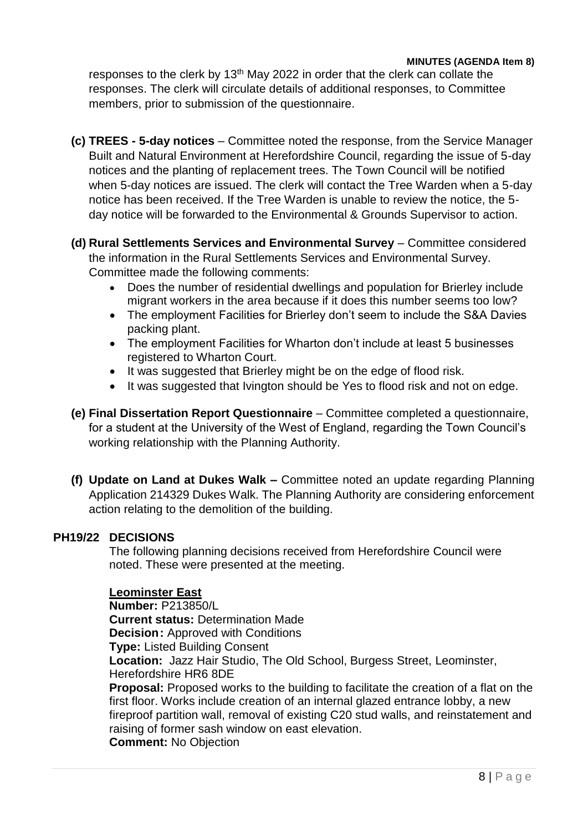responses to the clerk by 13<sup>th</sup> May 2022 in order that the clerk can collate the responses. The clerk will circulate details of additional responses, to Committee members, prior to submission of the questionnaire.

- **(c) TREES - 5-day notices**  Committee noted the response, from the Service Manager Built and Natural Environment at Herefordshire Council, regarding the issue of 5-day notices and the planting of replacement trees. The Town Council will be notified when 5-day notices are issued. The clerk will contact the Tree Warden when a 5-day notice has been received. If the Tree Warden is unable to review the notice, the 5 day notice will be forwarded to the Environmental & Grounds Supervisor to action.
- **(d) Rural Settlements Services and Environmental Survey**  Committee considered the information in the Rural Settlements Services and Environmental Survey. Committee made the following comments:
	- Does the number of residential dwellings and population for Brierley include migrant workers in the area because if it does this number seems too low?
	- The employment Facilities for Brierley don't seem to include the S&A Davies packing plant.
	- The employment Facilities for Wharton don't include at least 5 businesses registered to Wharton Court.
	- It was suggested that Brierley might be on the edge of flood risk.
	- It was suggested that Ivington should be Yes to flood risk and not on edge.
- **(e) Final Dissertation Report Questionnaire**  Committee completed a questionnaire, for a student at the University of the West of England, regarding the Town Council's working relationship with the Planning Authority.
- **(f) Update on Land at Dukes Walk –** Committee noted an update regarding Planning Application 214329 Dukes Walk. The Planning Authority are considering enforcement action relating to the demolition of the building.

# **PH19/22 DECISIONS**

The following planning decisions received from Herefordshire Council were noted. These were presented at the meeting.

# **Leominster East**

**Number:** P213850/L **Current status:** Determination Made **Decision:** Approved with Conditions **Type:** Listed Building Consent **Location:** Jazz Hair Studio, The Old School, Burgess Street, Leominster, Herefordshire HR6 8DE **Proposal:** Proposed works to the building to facilitate the creation of a flat on the first floor. Works include creation of an internal glazed entrance lobby, a new fireproof partition wall, removal of existing C20 stud walls, and reinstatement and raising of former sash window on east elevation.

**Comment:** No Objection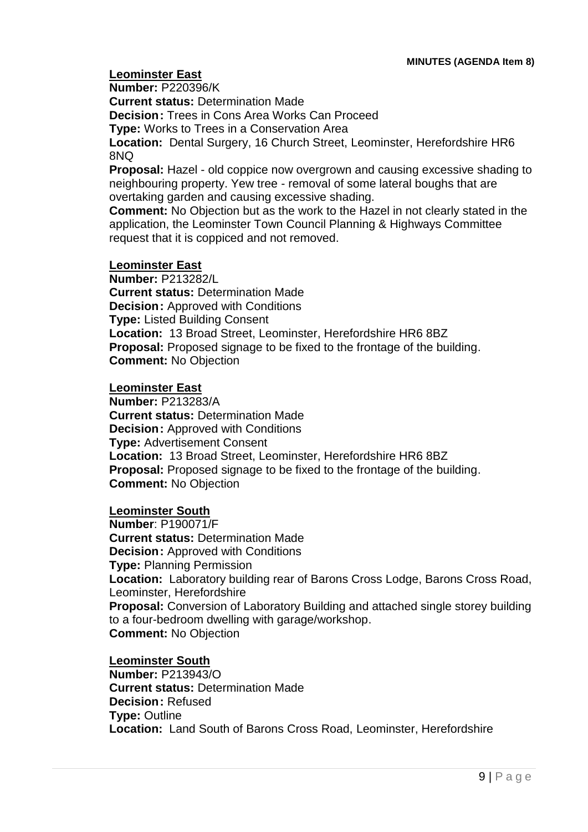### **Leominster East**

**Number:** P220396/K

**Current status:** Determination Made

**Decision:** Trees in Cons Area Works Can Proceed

**Type:** Works to Trees in a Conservation Area

**Location:** Dental Surgery, 16 Church Street, Leominster, Herefordshire HR6 8NQ

**Proposal:** Hazel - old coppice now overgrown and causing excessive shading to neighbouring property. Yew tree - removal of some lateral boughs that are overtaking garden and causing excessive shading.

**Comment:** No Objection but as the work to the Hazel in not clearly stated in the application, the Leominster Town Council Planning & Highways Committee request that it is coppiced and not removed.

### **Leominster East**

**Number:** P213282/L **Current status:** Determination Made **Decision:** Approved with Conditions **Type:** Listed Building Consent **Location:** 13 Broad Street, Leominster, Herefordshire HR6 8BZ **Proposal:** Proposed signage to be fixed to the frontage of the building. **Comment:** No Objection

#### **Leominster East**

**Number:** P213283/A **Current status:** Determination Made **Decision:** Approved with Conditions **Type:** Advertisement Consent **Location:** 13 Broad Street, Leominster, Herefordshire HR6 8BZ **Proposal:** Proposed signage to be fixed to the frontage of the building. **Comment:** No Objection

### **Leominster South**

**Number**: P190071/F **Current status:** Determination Made **Decision:** Approved with Conditions **Type:** Planning Permission **Location:** Laboratory building rear of Barons Cross Lodge, Barons Cross Road, Leominster, Herefordshire **Proposal:** Conversion of Laboratory Building and attached single storey building to a four-bedroom dwelling with garage/workshop. **Comment:** No Objection

#### **Leominster South**

**Number:** P213943/O **Current status:** Determination Made **Decision:** Refused **Type:** Outline **Location:** Land South of Barons Cross Road, Leominster, Herefordshire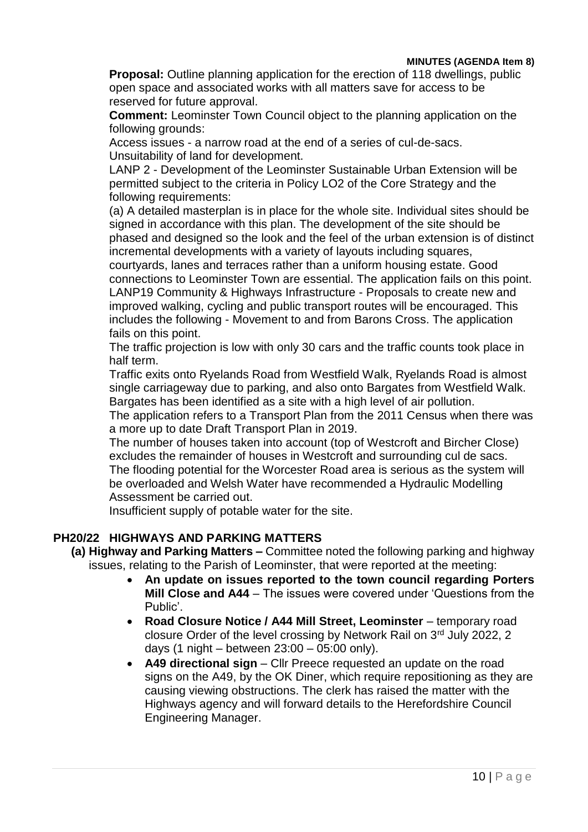**Proposal:** Outline planning application for the erection of 118 dwellings, public open space and associated works with all matters save for access to be reserved for future approval.

**Comment:** Leominster Town Council object to the planning application on the following grounds:

Access issues - a narrow road at the end of a series of cul-de-sacs. Unsuitability of land for development.

LANP 2 - Development of the Leominster Sustainable Urban Extension will be permitted subject to the criteria in Policy LO2 of the Core Strategy and the following requirements:

(a) A detailed masterplan is in place for the whole site. Individual sites should be signed in accordance with this plan. The development of the site should be phased and designed so the look and the feel of the urban extension is of distinct incremental developments with a variety of layouts including squares,

courtyards, lanes and terraces rather than a uniform housing estate. Good connections to Leominster Town are essential. The application fails on this point. LANP19 Community & Highways Infrastructure - Proposals to create new and improved walking, cycling and public transport routes will be encouraged. This includes the following - Movement to and from Barons Cross. The application fails on this point.

The traffic projection is low with only 30 cars and the traffic counts took place in half term.

Traffic exits onto Ryelands Road from Westfield Walk, Ryelands Road is almost single carriageway due to parking, and also onto Bargates from Westfield Walk. Bargates has been identified as a site with a high level of air pollution.

The application refers to a Transport Plan from the 2011 Census when there was a more up to date Draft Transport Plan in 2019.

The number of houses taken into account (top of Westcroft and Bircher Close) excludes the remainder of houses in Westcroft and surrounding cul de sacs. The flooding potential for the Worcester Road area is serious as the system will be overloaded and Welsh Water have recommended a Hydraulic Modelling Assessment be carried out.

Insufficient supply of potable water for the site.

### **PH20/22 HIGHWAYS AND PARKING MATTERS**

**(a) Highway and Parking Matters –** Committee noted the following parking and highway issues, relating to the Parish of Leominster, that were reported at the meeting:

- **An update on issues reported to the town council regarding Porters Mill Close and A44** – The issues were covered under 'Questions from the Public'.
- **Road Closure Notice / A44 Mill Street, Leominster** temporary road closure Order of the level crossing by Network Rail on 3rd July 2022, 2 days (1 night – between 23:00 – 05:00 only).
- A49 directional sign Cllr Preece requested an update on the road signs on the A49, by the OK Diner, which require repositioning as they are causing viewing obstructions. The clerk has raised the matter with the Highways agency and will forward details to the Herefordshire Council Engineering Manager.